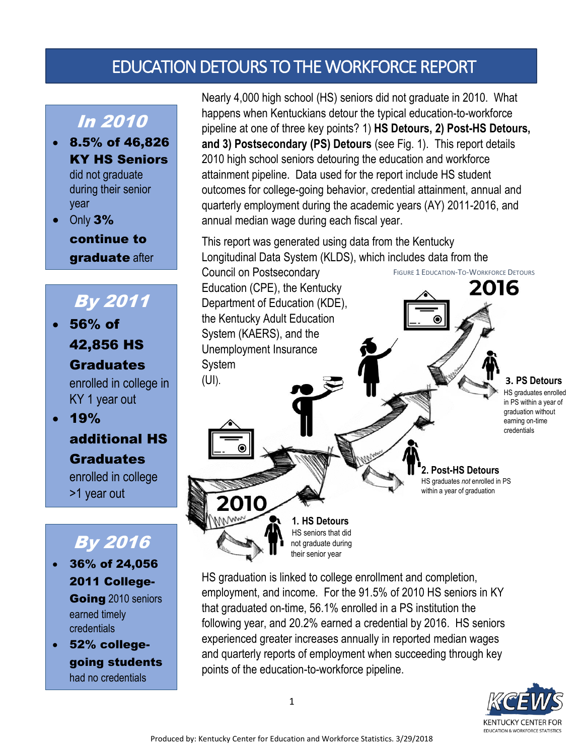# EDUCATION DETOURS TO THE WORKFORCE REPORT

### In 2010

 8.5% of 46,826 KY HS Seniors

> did not graduate during their senior year

• Only 3%

2010

continue to graduate after

# By 2011

 56% of 42,856 HS

#### **Graduates**

enrolled in college in KY 1 year out

 $.19%$ additional HS Graduates

> enrolled in college >1 year out

## By 2016

- 36% of 24,056 2011 College-Going 2010 seniors earned timely credentials
- 52% collegegoing students had no credentials

Nearly 4,000 high school (HS) seniors did not graduate in 2010. What happens when Kentuckians detour the typical education-to-workforce pipeline at one of three key points? 1) **HS Detours, 2) Post-HS Detours, and 3) Postsecondary (PS) Detours** (see Fig. 1). This report details 2010 high school seniors detouring the education and workforce attainment pipeline. Data used for the report include HS student outcomes for college-going behavior, credential attainment, annual and quarterly employment during the academic years (AY) 2011-2016, and annual median wage during each fiscal year.

This report was generated using data from the Kentucky Longitudinal Data System (KLDS), which includes data from the

Council on Postsecondary Education (CPE), the Kentucky Department of Education (KDE), the Kentucky Adult Education System (KAERS), and the Unemployment Insurance System (UI). **3. PS Detours**

 $\bullet$ i [  $\bullet$ 

HS graduates enrolled in PS within a year of graduation without earning on-time credentials

**2. Post-HS Detours** HS graduates *not* enrolled in PS within a year of graduation

FIGURE 1 EDUCATION-TO-WORKFORCE DETOURS

2016

HS graduation is linked to college enrollment and completion, employment, and income. For the 91.5% of 2010 HS seniors in KY that graduated on-time, 56.1% enrolled in a PS institution the following year, and 20.2% earned a credential by 2016. HS seniors experienced greater increases annually in reported median wages and quarterly reports of employment when succeeding through key points of the education-to-workforce pipeline.

**1. HS Detours** HS seniors that did not graduate during their senior year